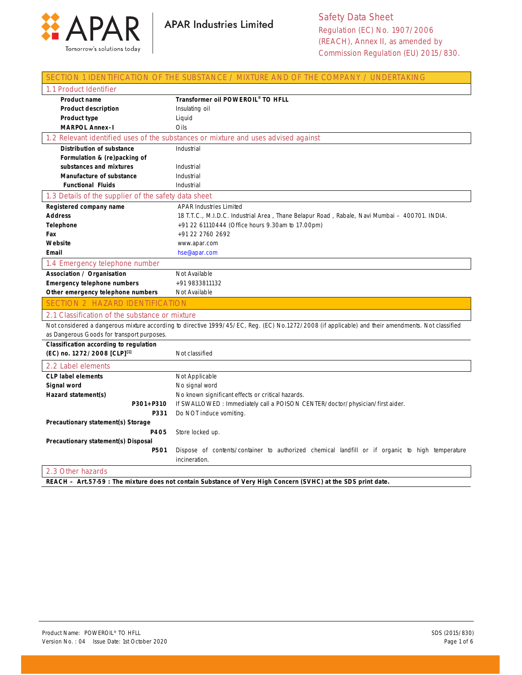

|                                                      | SECTION 1 IDENTIFICATION OF THE SUBSTANCE / MIXTURE AND OF THE COMPANY / UNDERTAKING                                                              |
|------------------------------------------------------|---------------------------------------------------------------------------------------------------------------------------------------------------|
| 1.1 Product Identifier                               |                                                                                                                                                   |
| <b>Product name</b>                                  | Transformer oil POWEROIL® TO HFLL                                                                                                                 |
| <b>Product description</b>                           | Insulating oil                                                                                                                                    |
| Product type                                         | Liquid                                                                                                                                            |
| <b>MARPOL Annex-1</b>                                | Oils                                                                                                                                              |
|                                                      | 1.2 Relevant identified uses of the substances or mixture and uses advised against                                                                |
| Distribution of substance                            | Industrial                                                                                                                                        |
| Formulation & (re)packing of                         |                                                                                                                                                   |
| substances and mixtures                              | Industrial                                                                                                                                        |
| <b>Manufacture of substance</b>                      | Industrial                                                                                                                                        |
| <b>Functional Fluids</b>                             | Industrial                                                                                                                                        |
| 1.3 Details of the supplier of the safety data sheet |                                                                                                                                                   |
| Registered company name                              | <b>APAR Industries Limited</b>                                                                                                                    |
| <b>Address</b>                                       | 18 T.T.C., M.I.D.C. Industrial Area, Thane Belapur Road, Rabale, Navi Mumbai - 400701. INDIA.                                                     |
| Telephone                                            | +91 22 61110444 (Office hours 9.30am to 17.00pm)                                                                                                  |
| Fax                                                  | +91 22 2760 2692                                                                                                                                  |
| Website                                              | www.apar.com                                                                                                                                      |
| Email                                                | hse@apar.com                                                                                                                                      |
| 1.4 Emergency telephone number                       |                                                                                                                                                   |
| Association / Organisation                           | Not Available                                                                                                                                     |
| Emergency telephone numbers                          | +91 9833811132                                                                                                                                    |
| Other emergency telephone numbers                    | Not Available                                                                                                                                     |
| <b>SECTION 2 HAZARD IDENTIFICATION</b>               |                                                                                                                                                   |
| 2.1 Classification of the substance or mixture       |                                                                                                                                                   |
|                                                      | Not considered a dangerous mixture according to directive 1999/45/EC, Reg. (EC) No.1272/2008 (if applicable) and their amendments. Not classified |
| as Dangerous Goods for transport purposes.           |                                                                                                                                                   |
| Classification according to regulation               |                                                                                                                                                   |
| (EC) no. 1272/2008 [CLP][1]                          | Not classified                                                                                                                                    |
| 2.2 Label elements                                   |                                                                                                                                                   |
| <b>CLP label elements</b>                            | Not Applicable                                                                                                                                    |
| Signal word                                          | No signal word                                                                                                                                    |
| Hazard statement(s)                                  | No known significant effects or critical hazards.                                                                                                 |
| P301+P310                                            | If SWALLOWED: Immediately call a POISON CENTER/doctor/physician/first aider.                                                                      |
| P331                                                 | Do NOT induce vomiting.                                                                                                                           |
| Precautionary statement(s) Storage                   |                                                                                                                                                   |
| P405                                                 | Store locked up.                                                                                                                                  |
| Precautionary statement(s) Disposal                  |                                                                                                                                                   |
| P501                                                 | Dispose of contents/container to authorized chemical landfill or if organic to high temperature                                                   |
|                                                      | incineration.                                                                                                                                     |
| 2.3 Other hazards                                    |                                                                                                                                                   |
|                                                      | REACH - Art.57-59 : The mixture does not contain Substance of Very High Concern (SVHC) at the SDS print date.                                     |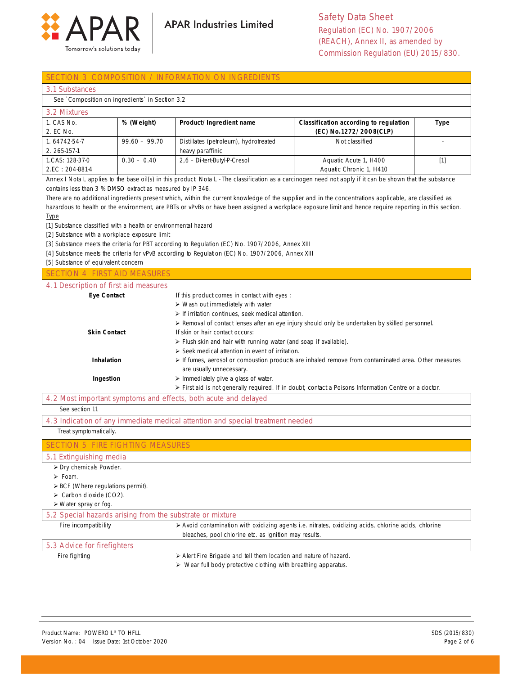

#### CTION 3 COMPOSITION / INFORMATION ON INGREDIENTS

|  |  | 3.1 Substances |
|--|--|----------------|
|  |  |                |
|  |  |                |

See `Composition on ingredients` in Section 3.2

| 3.2 Mixtures    |                 |                                       |                                        |      |
|-----------------|-----------------|---------------------------------------|----------------------------------------|------|
| 1. CAS No.      | % (Weight)      | Product/Ingredient name               | Classification according to regulation | Type |
| 2. EC No.       |                 |                                       | (EC) No.1272/2008(CLP)                 |      |
| 1.64742-54-7    | $99.60 - 99.70$ | Distillates (petroleum), hydrotreated | Not classified                         |      |
| 2. 265-157-1    |                 | heavy paraffinic                      |                                        |      |
| 1.CAS: 128-37-0 | $0.30 - 0.40$   | 2,6 -Di-tert-Butyl-P-Cresol           | Aquatic Acute 1, H400                  | [1]  |
| 2.EC: 204-881-4 |                 |                                       | Aquatic Chronic 1, H410                |      |

Annex I Nota L applies to the base oil(s) in this product. Nota L - The classification as a carcinogen need not apply if it can be shown that the substance contains less than 3 % DMSO extract as measured by IP 346.

There are no additional ingredients present which, within the current knowledge of the supplier and in the concentrations applicable, are classified as hazardous to health or the environment, are PBTs or vPvBs or have been assigned a workplace exposure limit and hence require reporting in this section. Type

[1] Substance classified with a health or environmental hazard

[2] Substance with a workplace exposure limit

[3] Substance meets the criteria for PBT according to Regulation (EC) No. 1907/2006, Annex XIII

[4] Substance meets the criteria for vPvB according to Regulation (EC) No. 1907/2006, Annex XIII

[5] Substance of equivalent concern

#### SECTION 4 FIRST AID MEASURES

#### 4.1 Description of first aid measures

| <b>Eye Contact</b>  | If this product comes in contact with eyes :                                                                                                    |
|---------------------|-------------------------------------------------------------------------------------------------------------------------------------------------|
|                     | $\triangleright$ Wash out immediately with water                                                                                                |
|                     | $\triangleright$ If irritation continues, seek medical attention.                                                                               |
|                     | ≻ Removal of contact lenses after an eye injury should only be undertaken by skilled personnel.                                                 |
| <b>Skin Contact</b> | If skin or hair contact occurs:                                                                                                                 |
|                     | $\triangleright$ Flush skin and hair with running water (and soap if available).                                                                |
|                     | $\triangleright$ Seek medical attention in event of irritation.                                                                                 |
| Inhalation          | $\triangleright$ If fumes, aerosol or combustion products are inhaled remove from contaminated area. Other measures<br>are usually unnecessary. |
| Ingestion           | $\triangleright$ Immediately give a glass of water.                                                                                             |
|                     | $\triangleright$ First aid is not generally required. If in doubt, contact a Poisons Information Centre or a doctor.                            |

#### 4.2 Most important symptoms and effects, both acute and delayed

See section 11

4.3 Indication of any immediate medical attention and special treatment needed

#### Treat symptomatically.

### SECTION 5 FIRE FIGHTING MEASURES

#### 5.1 Extinguishing media

- Dry chemicals Powder.
- $\triangleright$  Foam.
- $\triangleright$  BCF (Where regulations permit).
- $\triangleright$  Carbon dioxide (CO2).

```
 Water spray or fog.
```
# 5.2 Special hazards arising from the substrate or mixture

Fire incompatibility **Auxilie 3** Avoid contamination with oxidizing agents i.e. nitrates, oxidizing acids, chlorine acids, chlorine bleaches, pool chlorine etc. as ignition may results. 5.3 Advice for firefighters

Fire fighting **Alert Fire Brigade and tell them location and nature of hazard.** 

 $\triangleright$  Wear full body protective clothing with breathing apparatus.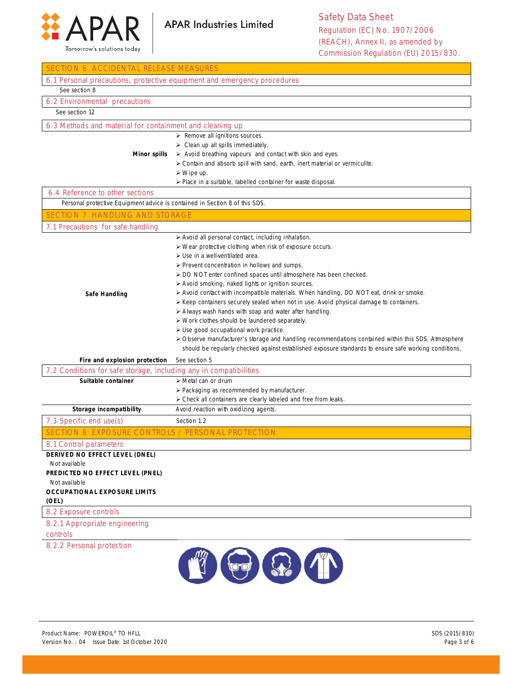



| SECTION 6 ACCIDENTAL RELEASE MEASURES                                       |                                                                                                                                               |  |
|-----------------------------------------------------------------------------|-----------------------------------------------------------------------------------------------------------------------------------------------|--|
| 6.1 Personal precautions, protective equipment and emergency procedures     |                                                                                                                                               |  |
| See section 8                                                               |                                                                                                                                               |  |
| 6.2 Environmental precautions                                               |                                                                                                                                               |  |
| See section 12                                                              |                                                                                                                                               |  |
| 6.3 Methods and material for containment and cleaning up                    |                                                                                                                                               |  |
|                                                                             | $\triangleright$ Remove all ignitions sources.                                                                                                |  |
|                                                                             | $\triangleright$ Clean up all spills immediately.                                                                                             |  |
| <b>Minor spills</b>                                                         | $\triangleright$ Avoid breathing vapours and contact with skin and eyes.                                                                      |  |
|                                                                             | > Contain and absorb spill with sand, earth, inert material or vermiculite.                                                                   |  |
|                                                                             | $\triangleright$ Wipe up.                                                                                                                     |  |
|                                                                             | > Place in a suitable, labelled container for waste disposal.                                                                                 |  |
| 6.4 Reference to other sections                                             |                                                                                                                                               |  |
| Personal protective Equipment advice is contained in Section 8 of this SDS. |                                                                                                                                               |  |
| <b>SECTION 7 HANDLING AND STORAGE</b>                                       |                                                                                                                                               |  |
| 7.1 Precautions for safe handling                                           |                                                                                                                                               |  |
|                                                                             | > Avoid all personal contact, including inhalation.                                                                                           |  |
|                                                                             | > Wear protective clothing when risk of exposure occurs.                                                                                      |  |
|                                                                             | $\triangleright$ Use in a well-ventilated area.                                                                                               |  |
|                                                                             | $\triangleright$ Prevent concentration in hollows and sumps.                                                                                  |  |
|                                                                             | > DO NOT enter confined spaces until atmosphere has been checked.                                                                             |  |
|                                                                             | > Avoid smoking, naked lights or ignition sources.<br>> Avoid contact with incompatible materials. When handling, DO NOT eat, drink or smoke. |  |
| Safe Handling                                                               | ≻ Keep containers securely sealed when not in use. Avoid physical damage to containers.                                                       |  |
|                                                                             | > Always wash hands with soap and water after handling.                                                                                       |  |
|                                                                             | > Work clothes should be laundered separately.                                                                                                |  |
|                                                                             | > Use good occupational work practice.                                                                                                        |  |
|                                                                             | > Observe manufacturer's storage and handling recommendations contained within this SDS. Atmosphere                                           |  |
|                                                                             | should be regularly checked against established exposure standards to ensure safe working conditions.                                         |  |
| Fire and explosion protection                                               | See section 5                                                                                                                                 |  |
| 7.2 Conditions for safe storage, including any in compatibilities           |                                                                                                                                               |  |
| Suitable container                                                          | > Metal can or drum                                                                                                                           |  |
|                                                                             | > Packaging as recommended by manufacturer.                                                                                                   |  |
|                                                                             | > Check all containers are clearly labeled and free from leaks.                                                                               |  |
| Storage incompatibility                                                     | Avoid reaction with oxidizing agents.                                                                                                         |  |
| 7.3 Specific end use(s)                                                     | Section 1.2                                                                                                                                   |  |
| SECTION 8 EXPOSURE CONTROLS / PERSONAL PROTECTION                           |                                                                                                                                               |  |
| 8.1 Control parameters                                                      |                                                                                                                                               |  |
| DERIVED NO EFFECT LEVEL (DNEL)                                              |                                                                                                                                               |  |
| Not available                                                               |                                                                                                                                               |  |
| PREDICTED NO EFFECT LEVEL (PNEL)                                            |                                                                                                                                               |  |
| Not available<br><b>OCCUPATIONAL EXPOSURE LIMITS</b>                        |                                                                                                                                               |  |
| (OEL)                                                                       |                                                                                                                                               |  |
| 8.2 Exposure controls                                                       |                                                                                                                                               |  |
| 8.2.1 Appropriate engineering                                               |                                                                                                                                               |  |
| controls                                                                    |                                                                                                                                               |  |
| 8.2.2 Personal protection                                                   |                                                                                                                                               |  |
|                                                                             |                                                                                                                                               |  |
|                                                                             | $\bigoplus$ $\bigoplus$ $\bigoplus$                                                                                                           |  |
|                                                                             |                                                                                                                                               |  |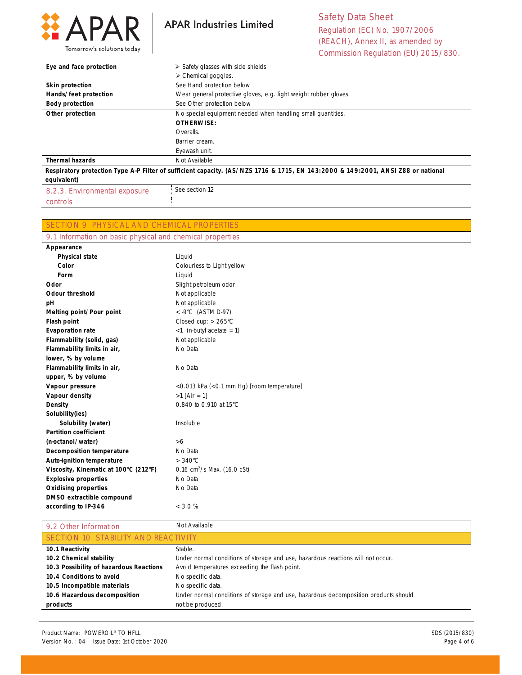

**APAR Industries Limited** 

Safety Data Sheet Regulation (EC) No. 1907/2006 (REACH), Annex II, as amended by Commission Regulation (EU) 2015/830.

| Eye and face protection       | $\triangleright$ Safety glasses with side shields                                                                                |
|-------------------------------|----------------------------------------------------------------------------------------------------------------------------------|
|                               | $\triangleright$ Chemical goggles.                                                                                               |
| <b>Skin protection</b>        | See Hand protection below                                                                                                        |
| Hands/feet protection         | Wear general protective gloves, e.g. light weight rubber gloves.                                                                 |
| <b>Body protection</b>        | See Other protection below                                                                                                       |
| Other protection              | No special equipment needed when handling small quantities.                                                                      |
|                               | OTHERWISE:                                                                                                                       |
|                               | Overalls.                                                                                                                        |
|                               | Barrier cream.                                                                                                                   |
|                               | Eyewash unit.                                                                                                                    |
| <b>Thermal hazards</b>        | Not Available                                                                                                                    |
|                               | Respiratory protection Type A-P Filter of sufficient capacity. (AS/NZS 1716 & 1715, EN 143:2000 & 149:2001, ANSI Z88 or national |
| equivalent)                   |                                                                                                                                  |
| 8.2.3. Environmental exposure | See section 12                                                                                                                   |

controls

SECTION 9 PHYSICAL AND CHEMICAL PROPERTIES

| 9.1 Information on basic physical and chemical properties |                            |  |
|-----------------------------------------------------------|----------------------------|--|
| Appearance                                                |                            |  |
| <b>Physical state</b>                                     | Liquid                     |  |
| Color                                                     | Colourless to Light yellow |  |
| Form                                                      | Liquid                     |  |
| Odor                                                      | Slight petroleum odor      |  |
| <b>Odour threshold</b>                                    | Not applicable             |  |
| .                                                         | .                          |  |

| <b>Odour threshold</b>                | Not applicable                             |
|---------------------------------------|--------------------------------------------|
| рH                                    | Not applicable                             |
| Melting point/Pour point              | $<$ -9°C (ASTM D-97)                       |
| Flash point                           | Closed cup: $> 265^{\circ}$ C              |
| <b>Evaporation rate</b>               | $<$ 1 (n-butyl acetate = 1)                |
| Flammability (solid, gas)             | Not applicable                             |
| Flammability limits in air,           | No Data                                    |
| lower, % by volume                    |                                            |
| Flammability limits in air,           | No Data                                    |
| upper, % by volume                    |                                            |
| Vapour pressure                       | <0.013 kPa (<0.1 mm Hg) [room temperature] |
| Vapour density                        | $>1$ [Air = 1]                             |
| Density                               | 0.840 to 0.910 at 15°C                     |
| Solubility(ies)                       |                                            |
| Solubility (water)                    | Insoluble                                  |
| <b>Partition coefficient</b>          |                                            |
| (n-octanol/water)                     | > 6                                        |
| Decomposition temperature             | No Data                                    |
| Auto-ignition temperature             | $>340^{\circ}$ C                           |
| Viscosity, Kinematic at 100°C (212°F) | 0.16 $cm^2/s$ Max. (16.0 cSt)              |
| <b>Explosive properties</b>           | No Data                                    |
| <b>Oxidising properties</b>           | No Data                                    |
| DMSO extractible compound             |                                            |
| according to IP-346                   | $<$ 3.0 %                                  |

| 9.2 Other Information                   | Not Available                                                                       |  |
|-----------------------------------------|-------------------------------------------------------------------------------------|--|
| SECTION 10 STABILITY AND REACTIVITY     |                                                                                     |  |
| 10.1 Reactivity                         | Stable.                                                                             |  |
| 10.2 Chemical stability                 | Under normal conditions of storage and use, hazardous reactions will not occur.     |  |
| 10.3 Possibility of hazardous Reactions | Avoid temperatures exceeding the flash point.                                       |  |
| 10.4 Conditions to avoid                | No specific data.                                                                   |  |
| 10.5 Incompatible materials             | No specific data.                                                                   |  |
| 10.6 Hazardous decomposition            | Under normal conditions of storage and use, hazardous decomposition products should |  |
| products                                | not be produced.                                                                    |  |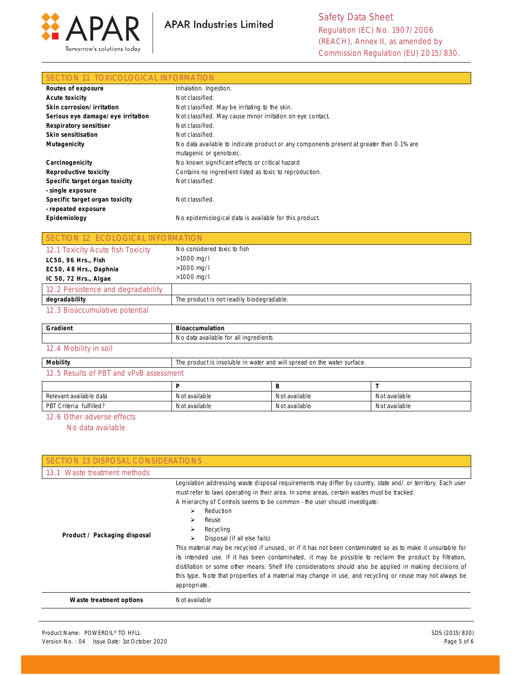



Safety Data Sheet Regulation (EC) No. 1907/2006 (REACH), Annex II, as amended by Commission Regulation (EU) 2015/830.

#### SECTION 11 TOXICOLOGICAL INFORMATION

| Routes of exposure                                    | Inhalation. Ingestion.                                                                                              |
|-------------------------------------------------------|---------------------------------------------------------------------------------------------------------------------|
| <b>Acute toxicity</b>                                 | Not classified.                                                                                                     |
| Skin corrosion/irritation                             | Not classified. May be irritating to the skin.                                                                      |
| Serious eye damage/eye irritation                     | Not classified. May cause minor irritation on eye contact.                                                          |
| <b>Respiratory sensitiser</b>                         | Not classified.                                                                                                     |
| Skin sensitisation                                    | Not classified.                                                                                                     |
| <b>Mutagenicity</b>                                   | No data available to indicate product or any components present at greater than 0.1% are<br>mutagenic or genotoxic. |
| Carcinogenicity                                       | No known significant effects or critical hazard                                                                     |
| <b>Reproductive toxicity</b>                          | Contains no ingredient listed as toxic to reproduction.                                                             |
| Specific target organ toxicity<br>- single exposure   | Not classified.                                                                                                     |
| Specific target organ toxicity<br>- repeated exposure | Not classified.                                                                                                     |
| Epidemiology                                          | No epidemiological data is available for this product.                                                              |

| SECTION 12 ECOLOGICAL INFORMATION  |                                           |
|------------------------------------|-------------------------------------------|
| 12.1 Toxicity Acute fish Toxicity  | No considered toxic to fish               |
| LC50, 96 Hrs., Fish                | $>1000$ mg/l                              |
| EC50, 48 Hrs., Daphnia             | $>1000$ mg/l                              |
| IC 50, 72 Hrs., Algae              | $>1000$ mg/l                              |
| 12.2 Persistence and degradability |                                           |
| degradability                      | The product is not readily biodegradable. |

#### 12.3 Bioaccumulative potential

| Gradient              | <b>Bioaccumulation</b>                                                  |
|-----------------------|-------------------------------------------------------------------------|
|                       | No data available for all ingredients                                   |
| 12.4 Mobility in soil |                                                                         |
| Mobility              | The product is insoluble in water and will spread on the water surface. |

## 12.5 Results of PBT and vPvB assessment

| Relevant available data | Not available | Not available | Not available |
|-------------------------|---------------|---------------|---------------|
| PBT Criteria fulfilled? | Not available | Not available | Not available |

#### 12.6 Other adverse effects

No data available

| SECTION 13 DISPOSAL CONSIDERATIONS |                                                                                                                                                                                                                                                                                                                                                                                                                                                                                                                                                                                                                                                                                                                                                                                                                                               |
|------------------------------------|-----------------------------------------------------------------------------------------------------------------------------------------------------------------------------------------------------------------------------------------------------------------------------------------------------------------------------------------------------------------------------------------------------------------------------------------------------------------------------------------------------------------------------------------------------------------------------------------------------------------------------------------------------------------------------------------------------------------------------------------------------------------------------------------------------------------------------------------------|
| 13.1 Waste treatment methods       |                                                                                                                                                                                                                                                                                                                                                                                                                                                                                                                                                                                                                                                                                                                                                                                                                                               |
| Product / Packaging disposal       | Legislation addressing waste disposal requirements may differ by country, state and/ or territory. Each user<br>must refer to laws operating in their area. In some areas, certain wastes must be tracked.<br>A Hierarchy of Controls seems to be common - the user should investigate:<br>Reduction<br>⋗<br>Reuse<br>⋗<br>Recycling<br>Disposal (if all else fails)<br>⋗<br>This material may be recycled if unused, or if it has not been contaminated so as to make it unsuitable for<br>its intended use. If it has been contaminated, it may be possible to reclaim the product by filtration,<br>distillation or some other means. Shelf life considerations should also be applied in making decisions of<br>this type. Note that properties of a material may change in use, and recycling or reuse may not always be<br>appropriate. |
| Waste treatment options            | Not available                                                                                                                                                                                                                                                                                                                                                                                                                                                                                                                                                                                                                                                                                                                                                                                                                                 |